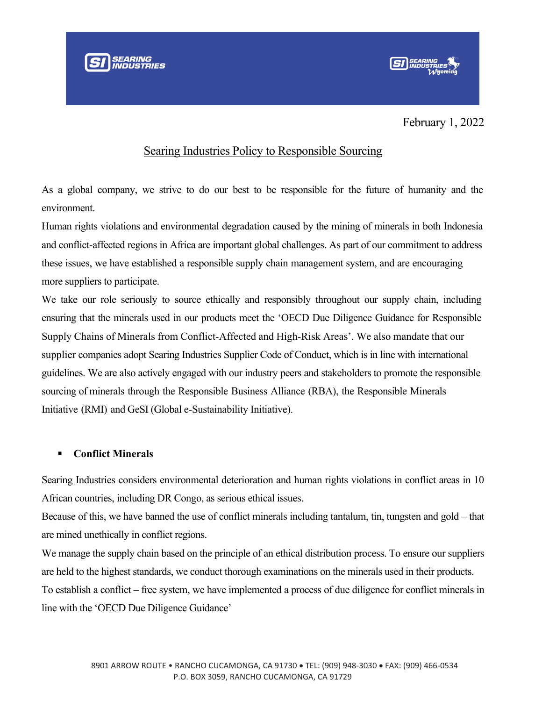

February 1, 2022

## Searing Industries Policy to Responsible Sourcing

As a global company, we strive to do our best to be responsible for the future of humanity and the environment.

Human rights violations and environmental degradation caused by the mining of minerals in both Indonesia and conflict-affected regions in Africa are important global challenges. As part of our commitment to address these issues, we have established a responsible supply chain management system, and are encouraging more suppliers to participate.

We take our role seriously to source ethically and responsibly throughout our supply chain, including ensuring that the minerals used in our products meet the 'OECD Due Diligence Guidance for Responsible Supply Chains of Minerals from Conflict-Affected and High-Risk Areas'. We also mandate that our supplier companies adopt Searing Industries Supplier Code of Conduct, which is in line with international guidelines. We are also actively engaged with our industry peers and stakeholders to promote the responsible sourcing of minerals through the Responsible Business Alliance (RBA), the Responsible Minerals Initiative (RMI) and GeSI (Global e-Sustainability Initiative).

## ▪ **Conflict Minerals**

Searing Industries considers environmental deterioration and human rights violations in conflict areas in 10 African countries, including DR Congo, as serious ethical issues.

Because of this, we have banned the use of conflict minerals including tantalum, tin, tungsten and gold – that are mined unethically in conflict regions.

We manage the supply chain based on the principle of an ethical distribution process. To ensure our suppliers are held to the highest standards, we conduct thorough examinations on the minerals used in their products. To establish a conflict – free system, we have implemented a process of due diligence for conflict minerals in line with the 'OECD Due Diligence Guidance'